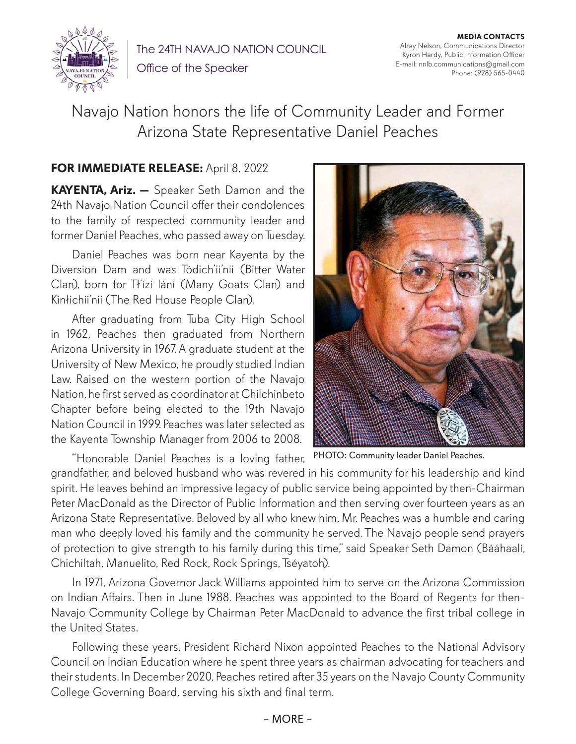

The 24TH NAVAJO NATION COUNCIL Office of the Speaker

**MEDIA CONTACTS** Alray Nelson, Communications Director Kyron Hardy, Public Information Officer E-mail: nnlb.communications@gmail.com Phone: (928) 565-0440

Navajo Nation honors the life of Community Leader and Former Arizona State Representative Daniel Peaches

## **FOR IMMEDIATE RELEASE:** April 8, 2022

**KAYENTA, Ariz. —** Speaker Seth Damon and the 24th Navajo Nation Council offer their condolences to the family of respected community leader and former Daniel Peaches, who passed away on Tuesday.

Daniel Peaches was born near Kayenta by the Diversion Dam and was Tódich'ii'nii (Bitter Water Clan), born for Tł'ízí lání (Many Goats Clan) and Kinłichii'nii (The Red House People Clan).

After graduating from Tuba City High School in 1962, Peaches then graduated from Northern Arizona University in 1967. A graduate student at the University of New Mexico, he proudly studied Indian Law. Raised on the western portion of the Navajo Nation, he first served as coordinator at Chilchinbeto Chapter before being elected to the 19th Navajo Nation Council in 1999. Peaches was later selected as the Kayenta Township Manager from 2006 to 2008.

"Honorable Daniel Peaches is a loving father,



PHOTO: Community leader Daniel Peaches.

grandfather, and beloved husband who was revered in his community for his leadership and kind spirit. He leaves behind an impressive legacy of public service being appointed by then-Chairman Peter MacDonald as the Director of Public Information and then serving over fourteen years as an Arizona State Representative. Beloved by all who knew him, Mr. Peaches was a humble and caring man who deeply loved his family and the community he served. The Navajo people send prayers of protection to give strength to his family during this time," said Speaker Seth Damon (Bááhaalí, Chichiltah, Manuelito, Red Rock, Rock Springs, Tséyatoh).

In 1971, Arizona Governor Jack Williams appointed him to serve on the Arizona Commission on Indian Affairs. Then in June 1988. Peaches was appointed to the Board of Regents for then-Navajo Community College by Chairman Peter MacDonald to advance the first tribal college in the United States.

Following these years, President Richard Nixon appointed Peaches to the National Advisory Council on Indian Education where he spent three years as chairman advocating for teachers and their students. In December 2020, Peaches retired after 35 years on the Navajo County Community College Governing Board, serving his sixth and final term.